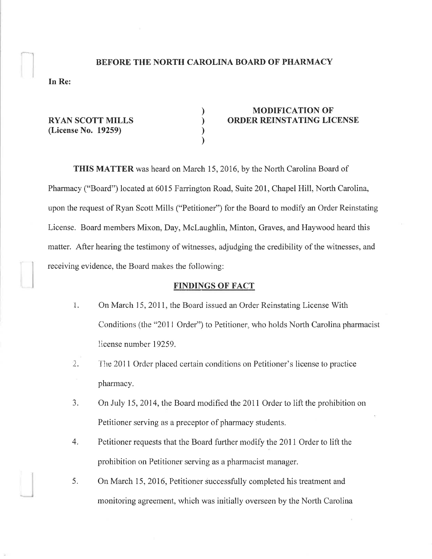### BEFORE THE NORTH CAROLINA BOARD OF PHARMACY

) ) ) )

In Re:

RYAN SCOTT MILLS (License No. 19259)

# MODIFICATION OF ORDER REINSTATING LICENSE

THIS MATTER was heard on March 15,2016, by the North Carolina Board of Pharmacy ("Board") located at 6015 Farrington Road, Suite 201, Chapel Hill, North Carolina, upon the request of Ryan Scott Mills ("Petitioner") for the Board to modify an Order Reinstating License. Board members Mixon, Day, Mclaughlin, Minton, Graves, and Haywood heard this matter. After hearing the testimony of witnesses, adjudging the credibility of the witnesses, and receiving evidence, the Board makes the following:

#### FINDINGS OF FACT

- 1. On March 15, 2011, the Board issued an Order Reinstating License With Conditions (the "2011 Order") to Petitioner, who holds North Carolina pharmacist license number 19259.
- 2. The 2011 Order placed certain conditions on Petitioner's license to practice pharmacy.
- <sup>3</sup>. On July 15 , 2014, the Board modified the 2011 Order to lift the prohibition on Petitioner serving as a preceptor of pharmacy students.
- 4. Petitioner requests that the Board further modify the 2011 Order to lift the prohibition on Petitioner serving as a pharmacist manager.
- 5. On March 15,2016, Petitioner successfully completed his treatment and monitoring agreement, which was initially overseen by the North Carolina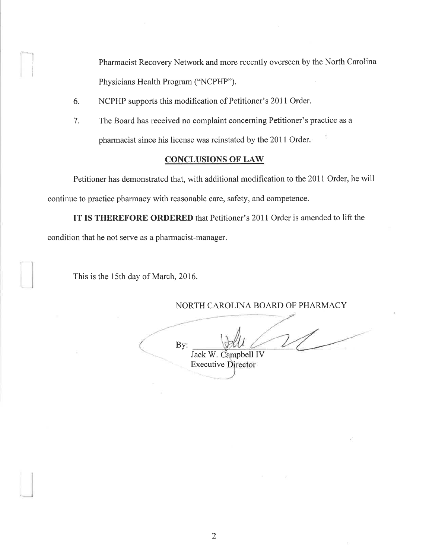Pharmacist Recovery Network and more recently overseen by the North Carolina Physicians Health Program ("NCPHP").

- 6. NCPHP supports this modification of Petitioner's 2011 Order.
- 7. The Board has received no complaint concerning Petitioner's practice as <sup>a</sup> pharmacist since his license was reinstated by the 2011 Order.

## CONCLUSIONS OF LAW

Petitioner has demonstrated that, with additional modification to the 2011 Order, he will continue to practice pharmacy with reasonable care, safety, and competence.

IT IS THEREFORE ORDERED that Petitioner's 2011 Order is amended to lift the condition that he not serve as a pharmacist-manager.

This is the 15th day of March,20l6.

NORTH CAROLINA BOARD OF PHARMACY

By: Jack W. Campbell IV **Executive Director**